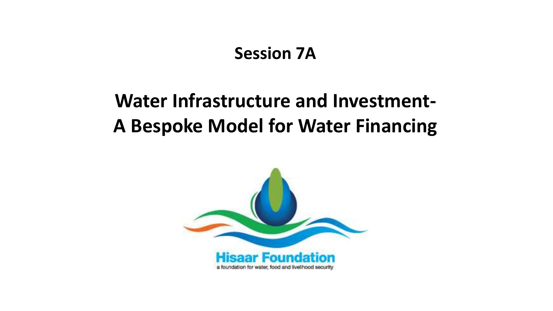#### **Session 7A**

# **Water Infrastructure and Investment-A Bespoke Model for Water Financing**

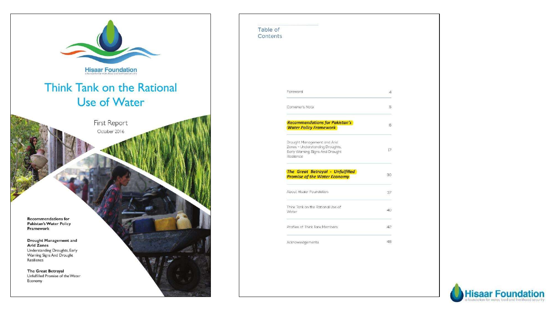

| Table of<br>Contents |                                                                                                                 |                 |
|----------------------|-----------------------------------------------------------------------------------------------------------------|-----------------|
|                      |                                                                                                                 |                 |
|                      | Foreword                                                                                                        | $\overline{4}$  |
|                      | Convener's Note                                                                                                 | 5.              |
|                      | <b>Recommendations for Pakistan's</b><br><b>Water Policy Framework</b>                                          | 6               |
|                      | Drought Management and Arid<br>Zones - Understanding Droughts,<br>Early Warning Signs And Drought<br>Resilience | 17 <sup>2</sup> |
|                      | <b>The Great Betrayal - Unfulfilled</b><br><b>Promise of the Water Economy</b>                                  | 30              |
|                      | About Hisaar Foundation                                                                                         | 37              |
|                      | Think Tank on the Rational Use of<br>Water                                                                      | 40              |
|                      | Profiles of Think Tank Members                                                                                  | 42              |
|                      | Acknowledgements                                                                                                | 46              |

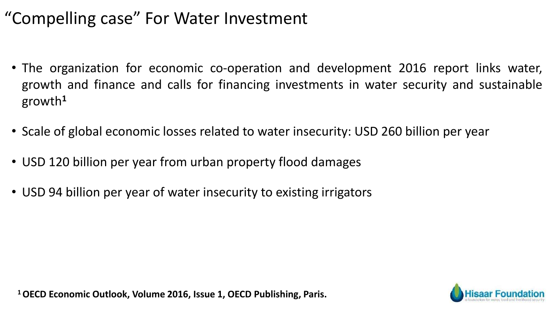## "Compelling case" For Water Investment

- The organization for economic co-operation and development 2016 report links water, growth and finance and calls for financing investments in water security and sustainable growth**<sup>1</sup>**
- Scale of global economic losses related to water insecurity: USD 260 billion per year
- USD 120 billion per year from urban property flood damages
- USD 94 billion per year of water insecurity to existing irrigators

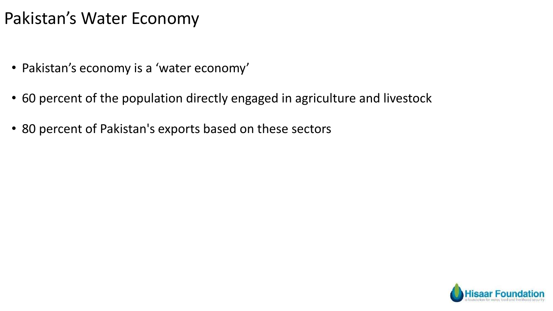### Pakistan's Water Economy

- Pakistan's economy is a 'water economy'
- 60 percent of the population directly engaged in agriculture and livestock
- 80 percent of Pakistan's exports based on these sectors

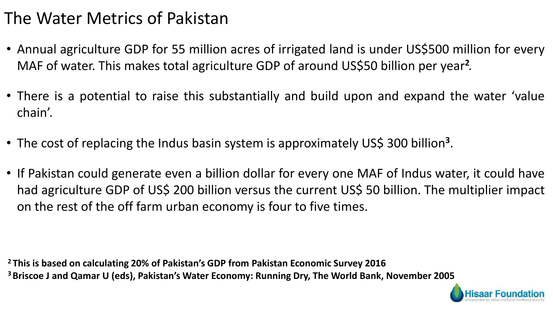## The Water Metrics of Pakistan

- Annual agriculture GDP for 55 million acres of irrigated land is under US\$500 million for every MAF of water. This makes total agriculture GDP of around US\$50 billion per year**<sup>2</sup>** .
- There is a potential to raise this substantially and build upon and expand the water 'value chain'.
- The cost of replacing the Indus basin system is approximately US\$ 300 billion**<sup>3</sup>** .
- If Pakistan could generate even a billion dollar for every one MAF of Indus water, it could have had agriculture GDP of US\$ 200 billion versus the current US\$ 50 billion. The multiplier impact on the rest of the off farm urban economy is four to five times.

**<sup>2</sup> This is based on calculating 20% of Pakistan's GDP from Pakistan Economic Survey 2016 <sup>3</sup>Briscoe J and Qamar U (eds), Pakistan's Water Economy: Running Dry, The World Bank, November 2005**